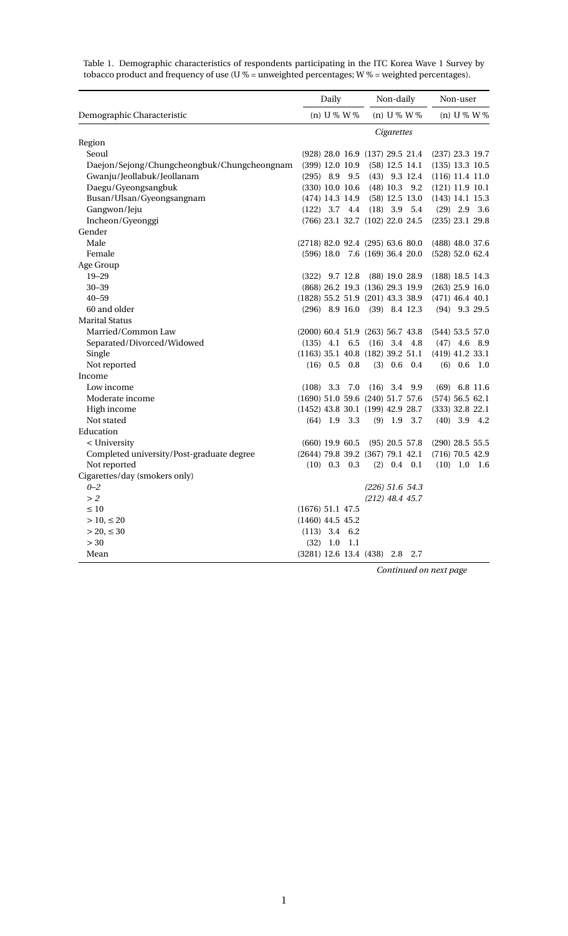|                                             |                                      | Daily      |                |                                  | Non-daily  |                   |                   | Non-user        |  |  |
|---------------------------------------------|--------------------------------------|------------|----------------|----------------------------------|------------|-------------------|-------------------|-----------------|--|--|
| Demographic Characteristic                  |                                      |            | (n) U % W %    |                                  |            | (n) $U\% W\%$     |                   | $(n)$ U % W %   |  |  |
|                                             |                                      |            |                |                                  | Cigarettes |                   |                   |                 |  |  |
| Region                                      |                                      |            |                |                                  |            |                   |                   |                 |  |  |
| Seoul                                       |                                      |            |                | (928) 28.0 16.9 (137) 29.5 21.4  |            |                   | $(237)$ 23.3 19.7 |                 |  |  |
| Daejon/Sejong/Chungcheongbuk/Chungcheongnam |                                      |            |                | (399) 12.0 10.9 (58) 12.5 14.1   |            |                   | $(135)$ 13.3 10.5 |                 |  |  |
| Gwanju/Jeollabuk/Jeollanam                  | $(295)$ 8.9 9.5                      |            |                |                                  |            | $(43)$ 9.3 12.4   | $(116)$ 11.4 11.0 |                 |  |  |
| Daegu/Gyeongsangbuk                         | $(330)$ 10.0 10.6                    |            |                |                                  |            | $(48)$ 10.3 9.2   | $(121)$ 11.9 10.1 |                 |  |  |
| Busan/Ulsan/Gyeongsangnam                   | (474) 14.3 14.9                      |            |                |                                  |            | $(58)$ 12.5 13.0  | $(143)$ 14.1 15.3 |                 |  |  |
| Gangwon/Jeju                                | $(122)$ 3.7 4.4                      |            |                |                                  |            | $(18)$ 3.9 5.4    |                   | $(29)$ 2.9 3.6  |  |  |
| Incheon/Gyeonggi                            |                                      |            |                | (766) 23.1 32.7 (102) 22.0 24.5  |            |                   | (235) 23.1 29.8   |                 |  |  |
| Gender                                      |                                      |            |                |                                  |            |                   |                   |                 |  |  |
| Male                                        | (2718) 82.0 92.4 (295) 63.6 80.0     |            |                |                                  |            |                   | $(488)$ 48.0 37.6 |                 |  |  |
| Female                                      |                                      |            |                | $(596)$ 18.0 7.6 (169) 36.4 20.0 |            |                   | (528) 52.0 62.4   |                 |  |  |
| Age Group                                   |                                      |            |                |                                  |            |                   |                   |                 |  |  |
| $19 - 29$                                   | $(322)$ 9.7 12.8                     |            |                |                                  |            | $(88)$ 19.0 28.9  | $(188)$ 18.5 14.3 |                 |  |  |
| $30 - 39$                                   |                                      |            |                | (868) 26.2 19.3 (136) 29.3 19.9  |            |                   | $(263)$ 25.9 16.0 |                 |  |  |
| $40 - 59$                                   | (1828) 55.2 51.9 (201) 43.3 38.9     |            |                |                                  |            |                   | $(471)$ 46.4 40.1 |                 |  |  |
| 60 and older                                |                                      |            |                | $(296)$ 8.9 16.0 $(39)$ 8.4 12.3 |            |                   |                   | $(94)$ 9.3 29.5 |  |  |
| <b>Marital Status</b>                       |                                      |            |                |                                  |            |                   |                   |                 |  |  |
| Married/Common Law                          | $(2000)$ 60.4 51.9 $(263)$ 56.7 43.8 |            |                |                                  |            |                   | $(544)$ 53.5 57.0 |                 |  |  |
| Separated/Divorced/Widowed                  |                                      |            |                | $(135)$ 4.1 6.5 $(16)$ 3.4 4.8   |            |                   |                   | $(47)$ 4.6 8.9  |  |  |
| Single                                      | $(1163)$ 35.1 40.8 $(182)$ 39.2 51.1 |            |                |                                  |            |                   | $(419)$ 41.2 33.1 |                 |  |  |
| Not reported                                |                                      |            | $(16)$ 0.5 0.8 |                                  |            | $(3)$ 0.6 0.4     |                   | $(6)$ 0.6 1.0   |  |  |
| Income                                      |                                      |            |                |                                  |            |                   |                   |                 |  |  |
| Low income                                  |                                      |            |                | $(108)$ 3.3 7.0 $(16)$ 3.4 9.9   |            |                   |                   | $(69)$ 6.8 11.6 |  |  |
| Moderate income                             | (1690) 51.0 59.6 (240) 51.7 57.6     |            |                |                                  |            |                   | (574) 56.5 62.1   |                 |  |  |
| High income                                 | (1452) 43.8 30.1 (199) 42.9 28.7     |            |                |                                  |            |                   | $(333)$ 32.8 22.1 |                 |  |  |
| Not stated                                  |                                      |            | $(64)$ 1.9 3.3 |                                  | $(9)$ 1.9  | 3.7               |                   | $(40)$ 3.9 4.2  |  |  |
| Education                                   |                                      |            |                |                                  |            |                   |                   |                 |  |  |
| < University                                | $(660)$ 19.9 60.5                    |            |                |                                  |            | $(95)$ 20.5 57.8  | $(290)$ 28.5 55.5 |                 |  |  |
| Completed university/Post-graduate degree   | (2644) 79.8 39.2 (367) 79.1 42.1     |            |                |                                  |            |                   | $(716)$ 70.5 42.9 |                 |  |  |
| Not reported                                |                                      |            | $(10)$ 0.3 0.3 |                                  |            | $(2)$ 0.4 0.1     |                   | $(10)$ 1.0 1.6  |  |  |
| Cigarettes/day (smokers only)               |                                      |            |                |                                  |            |                   |                   |                 |  |  |
| $0 - 2$                                     |                                      |            |                |                                  |            | $(226)$ 51.6 54.3 |                   |                 |  |  |
| >2                                          |                                      |            |                |                                  |            | $(212)$ 48.4 45.7 |                   |                 |  |  |
| $\leq 10$                                   | $(1676)$ 51.1 47.5                   |            |                |                                  |            |                   |                   |                 |  |  |
| $> 10, \leq 20$                             | $(1460)$ 44.5 45.2                   |            |                |                                  |            |                   |                   |                 |  |  |
| $>$ 20, $\leq$ 30                           | $(113)$ 3.4 6.2                      |            |                |                                  |            |                   |                   |                 |  |  |
| >30                                         |                                      | $(32)$ 1.0 | 1.1            |                                  |            |                   |                   |                 |  |  |
| Mean                                        | $(3281)$ 12.6 13.4 $(438)$ 2.8 2.7   |            |                |                                  |            |                   |                   |                 |  |  |

Table 1. Demographic characteristics of respondents participating in the ITC Korea Wave 1 Survey by tobacco product and frequency of use (U % = unweighted percentages; W % = weighted percentages).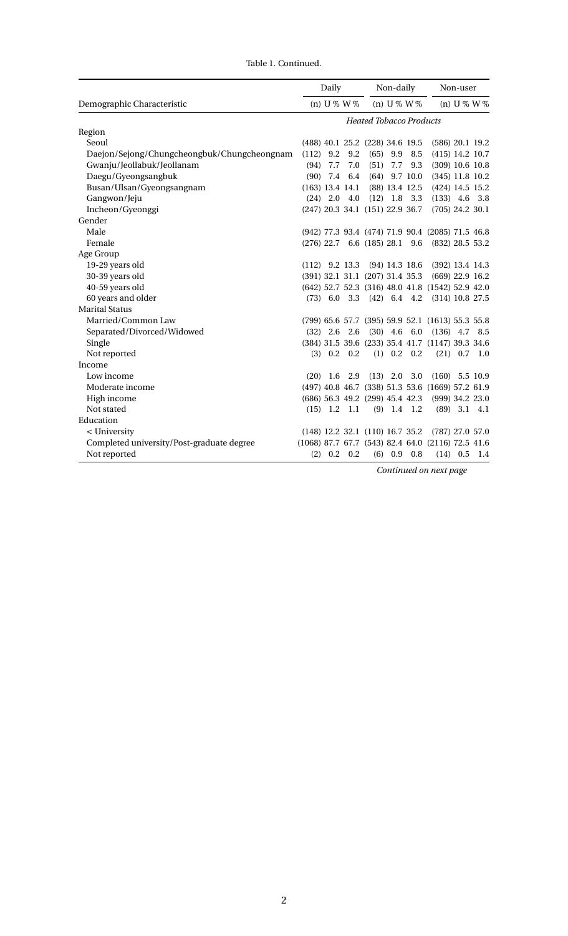Table 1. Continued.

|                                             |                   | Daily                          |                 |                                 | Non-daily     |                  |                                                     | Non-user       |                   |  |
|---------------------------------------------|-------------------|--------------------------------|-----------------|---------------------------------|---------------|------------------|-----------------------------------------------------|----------------|-------------------|--|
| Demographic Characteristic                  |                   | (n) $U\% W\%$                  |                 |                                 | (n) $U\% W\%$ |                  |                                                     |                | (n) $U\% W\%$     |  |
|                                             |                   | <b>Heated Tobacco Products</b> |                 |                                 |               |                  |                                                     |                |                   |  |
| Region                                      |                   |                                |                 |                                 |               |                  |                                                     |                |                   |  |
| Seoul                                       |                   |                                |                 | (488) 40.1 25.2 (228) 34.6 19.5 |               |                  | $(586)$ 20.1 19.2                                   |                |                   |  |
| Daejon/Sejong/Chungcheongbuk/Chungcheongnam | (112)             | 9.2                            | 9.2             | (65)                            | 9.9           | 8.5              |                                                     |                | $(415)$ 14.2 10.7 |  |
| Gwanju/Jeollabuk/Jeollanam                  | (94)              | 7.7                            | 7.0             | (51)                            | 7.7           | 9.3              | $(309)$ 10.6 10.8                                   |                |                   |  |
| Daegu/Gyeongsangbuk                         | (90)              | 7.4                            | 6.4             |                                 |               | $(64)$ 9.7 10.0  | $(345)$ 11.8 10.2                                   |                |                   |  |
| Busan/Ulsan/Gyeongsangnam                   | $(163)$ 13.4 14.1 |                                |                 |                                 |               | $(88)$ 13.4 12.5 | $(424)$ 14.5 15.2                                   |                |                   |  |
| Gangwon/Jeju                                |                   |                                | $(24)$ 2.0 4.0  |                                 |               | $(12)$ 1.8 3.3   | $(133)$ 4.6 3.8                                     |                |                   |  |
| Incheon/Gyeonggi                            |                   |                                |                 | (247) 20.3 34.1 (151) 22.9 36.7 |               |                  | $(705)$ 24.2 30.1                                   |                |                   |  |
| Gender                                      |                   |                                |                 |                                 |               |                  |                                                     |                |                   |  |
| Male                                        |                   |                                |                 |                                 |               |                  | (942) 77.3 93.4 (474) 71.9 90.4 (2085) 71.5 46.8    |                |                   |  |
| Female                                      |                   |                                |                 | $(276)$ 22.7 6.6 (185) 28.1 9.6 |               |                  | (832) 28.5 53.2                                     |                |                   |  |
| Age Group                                   |                   |                                |                 |                                 |               |                  |                                                     |                |                   |  |
| 19-29 years old                             | $(112)$ 9.2 13.3  |                                |                 |                                 |               | $(94)$ 14.3 18.6 | $(392)$ 13.4 14.3                                   |                |                   |  |
| 30-39 years old                             |                   |                                |                 | (391) 32.1 31.1 (207) 31.4 35.3 |               |                  | $(669)$ 22.9 16.2                                   |                |                   |  |
| 40-59 years old                             |                   |                                |                 |                                 |               |                  | (642) 52.7 52.3 (316) 48.0 41.8 (1542) 52.9 42.0    |                |                   |  |
| 60 years and older                          |                   |                                |                 |                                 |               |                  | (73) 6.0 3.3 (42) 6.4 4.2 (314) 10.8 27.5           |                |                   |  |
| <b>Marital Status</b>                       |                   |                                |                 |                                 |               |                  |                                                     |                |                   |  |
| Married/Common Law                          |                   |                                |                 |                                 |               |                  | (799) 65.6 57.7 (395) 59.9 52.1 (1613) 55.3 55.8    |                |                   |  |
| Separated/Divorced/Widowed                  |                   |                                | $(32)$ 2.6 2.6  |                                 |               | $(30)$ 4.6 6.0   | $(136)$ 4.7                                         |                | 8.5               |  |
| Single                                      |                   |                                |                 |                                 |               |                  | (384) 31.5 39.6 (233) 35.4 41.7 (1147) 39.3 34.6    |                |                   |  |
| Not reported                                |                   |                                | $(3)$ 0.2 0.2   |                                 |               | $(1)$ 0.2 0.2    |                                                     |                | $(21)$ 0.7 1.0    |  |
| Income                                      |                   |                                |                 |                                 |               |                  |                                                     |                |                   |  |
| Low income                                  | (20)              | 1.6                            | 2.9             |                                 | $(13)$ 2.0    | 3.0              | $(160)$ 5.5 10.9                                    |                |                   |  |
| Moderate income                             |                   |                                |                 |                                 |               |                  | (497) 40.8 46.7 (338) 51.3 53.6 (1669) 57.2 61.9    |                |                   |  |
| High income                                 |                   |                                |                 | (686) 56.3 49.2 (299) 45.4 42.3 |               |                  | $(999)$ 34.2 23.0                                   |                |                   |  |
| Not stated                                  |                   |                                | $(15)$ 1.2 1.1  |                                 |               | $(9)$ 1.4 1.2    |                                                     | $(89)$ 3.1 4.1 |                   |  |
| Education                                   |                   |                                |                 |                                 |               |                  |                                                     |                |                   |  |
| < University                                |                   |                                |                 | (148) 12.2 32.1 (110) 16.7 35.2 |               |                  | $(787)$ 27.0 57.0                                   |                |                   |  |
| Completed university/Post-graduate degree   |                   |                                |                 |                                 |               |                  | $(1068)$ 87.7 67.7 (543) 82.4 64.0 (2116) 72.5 41.6 |                |                   |  |
| Not reported                                | (2)               |                                | $0.2 \quad 0.2$ |                                 |               | $(6)$ 0.9 0.8    |                                                     | $(14)$ 0.5 1.4 |                   |  |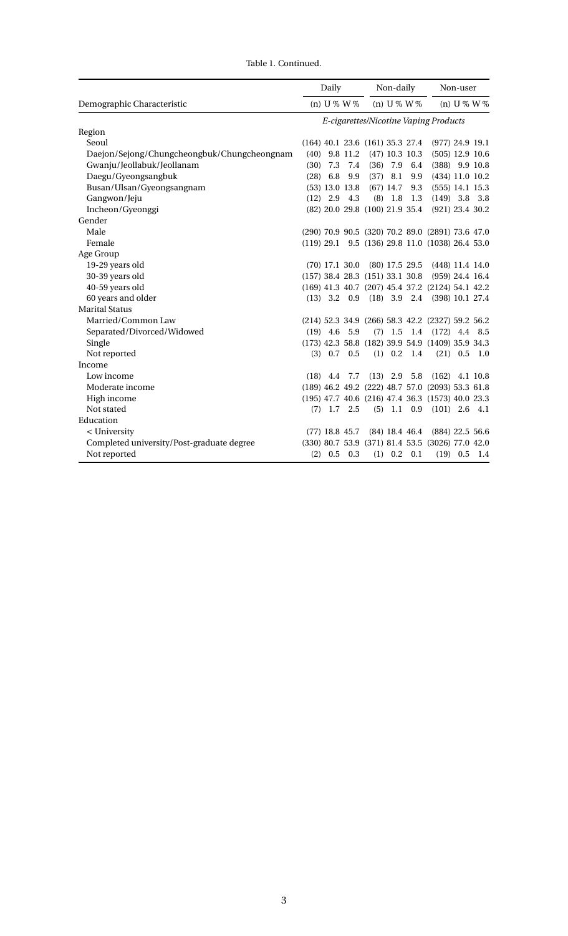|                                             | Daily                                 |                  |                  | Non-daily                           |                  |                  | Non-user                                               |                |          |
|---------------------------------------------|---------------------------------------|------------------|------------------|-------------------------------------|------------------|------------------|--------------------------------------------------------|----------------|----------|
| Demographic Characteristic                  |                                       | (n) $U\% W\%$    |                  |                                     | (n) $U\% W\%$    |                  |                                                        | (n) $U\% W\%$  |          |
|                                             | E-cigarettes/Nicotine Vaping Products |                  |                  |                                     |                  |                  |                                                        |                |          |
| Region                                      |                                       |                  |                  |                                     |                  |                  |                                                        |                |          |
| Seoul                                       |                                       |                  |                  | $(164)$ 40.1 23.6 $(161)$ 35.3 27.4 |                  |                  | $(977)$ 24.9 19.1                                      |                |          |
| Daejon/Sejong/Chungcheongbuk/Chungcheongnam | (40)                                  |                  | 9.8 11.2         |                                     | $(47)$ 10.3 10.3 |                  | $(505)$ 12.9 10.6                                      |                |          |
| Gwanju/Jeollabuk/Jeollanam                  | (30)                                  | 7.3              | 7.4              | (36)                                | 7.9              | 6.4              | $(388)$ 9.9 10.8                                       |                |          |
| Daegu/Gyeongsangbuk                         | (28)                                  | 6.8              | 9.9              | (37)                                | 8.1              | 9.9              | $(434)$ 11.0 10.2                                      |                |          |
| Busan/Ulsan/Gyeongsangnam                   |                                       |                  | $(53)$ 13.0 13.8 |                                     | $(67)$ 14.7      | 9.3              | $(555)$ 14.1 15.3                                      |                |          |
| Gangwon/Jeju                                |                                       | $(12)$ 2.9 4.3   |                  | (8)                                 | $1.8\,$          | 1.3              | $(149)$ 3.8 3.8                                        |                |          |
| Incheon/Gyeonggi                            |                                       |                  |                  | (82) 20.0 29.8 (100) 21.9 35.4      |                  |                  | (921) 23.4 30.2                                        |                |          |
| Gender                                      |                                       |                  |                  |                                     |                  |                  |                                                        |                |          |
| Male                                        |                                       |                  |                  |                                     |                  |                  | (290) 70.9 90.5 (320) 70.2 89.0 (2891) 73.6 47.0       |                |          |
| Female                                      |                                       |                  |                  |                                     |                  |                  | $(119)$ 29.1 9.5 $(136)$ 29.8 11.0 $(1038)$ 26.4 53.0  |                |          |
| Age Group                                   |                                       |                  |                  |                                     |                  |                  |                                                        |                |          |
| 19-29 years old                             |                                       | $(70)$ 17.1 30.0 |                  |                                     |                  | (80) 17.5 29.5   | $(448)$ 11.4 14.0                                      |                |          |
| 30-39 years old                             |                                       |                  |                  | $(157)$ 38.4 28.3 $(151)$ 33.1 30.8 |                  |                  | $(959)$ 24.4 16.4                                      |                |          |
| 40-59 years old                             |                                       |                  |                  |                                     |                  |                  | (169) 41.3 40.7 (207) 45.4 37.2 (2124) 54.1 42.2       |                |          |
| 60 years and older                          |                                       |                  |                  |                                     |                  |                  | (13) 3.2 0.9 (18) 3.9 2.4 (398) 10.1 27.4              |                |          |
| <b>Marital Status</b>                       |                                       |                  |                  |                                     |                  |                  |                                                        |                |          |
| Married/Common Law                          |                                       |                  |                  |                                     |                  |                  | (214) 52.3 34.9 (266) 58.3 42.2 (2327) 59.2 56.2       |                |          |
| Separated/Divorced/Widowed                  |                                       | $(19)$ 4.6 5.9   |                  | (7)                                 |                  | 1.5 1.4          | $(172)$ 4.4 8.5                                        |                |          |
| Single                                      |                                       |                  |                  |                                     |                  |                  | $(173)$ 42.3 58.8 $(182)$ 39.9 54.9 $(1409)$ 35.9 34.3 |                |          |
| Not reported                                |                                       |                  | $(3)$ 0.7 0.5    |                                     | $(1)$ 0.2        | 1.4              |                                                        | $(21)$ 0.5     | 1.0      |
| Income                                      |                                       |                  |                  |                                     |                  |                  |                                                        |                |          |
| Low income                                  |                                       | $(18)$ 4.4       | 7.7              | (13)                                | 2.9              | 5.8              | (162)                                                  |                | 4.1 10.8 |
| Moderate income                             |                                       |                  |                  |                                     |                  |                  | (189) 46.2 49.2 (222) 48.7 57.0 (2093) 53.3 61.8       |                |          |
| High income                                 |                                       |                  |                  |                                     |                  |                  | (195) 47.7 40.6 (216) 47.4 36.3 (1573) 40.0 23.3       |                |          |
| Not stated                                  |                                       |                  | $(7)$ 1.7 2.5    | (5)                                 |                  | 1.1 0.9          | $(101)$ 2.6 4.1                                        |                |          |
| Education                                   |                                       |                  |                  |                                     |                  |                  |                                                        |                |          |
| < University                                |                                       | $(77)$ 18.8 45.7 |                  |                                     |                  | $(84)$ 18.4 46.4 | $(884)$ 22.5 56.6                                      |                |          |
| Completed university/Post-graduate degree   |                                       |                  |                  |                                     |                  |                  | (330) 80.7 53.9 (371) 81.4 53.5 (3026) 77.0 42.0       |                |          |
| Not reported                                |                                       | $(2)$ 0.5 0.3    |                  |                                     | $(1)$ 0.2 0.1    |                  |                                                        | $(19)$ 0.5 1.4 |          |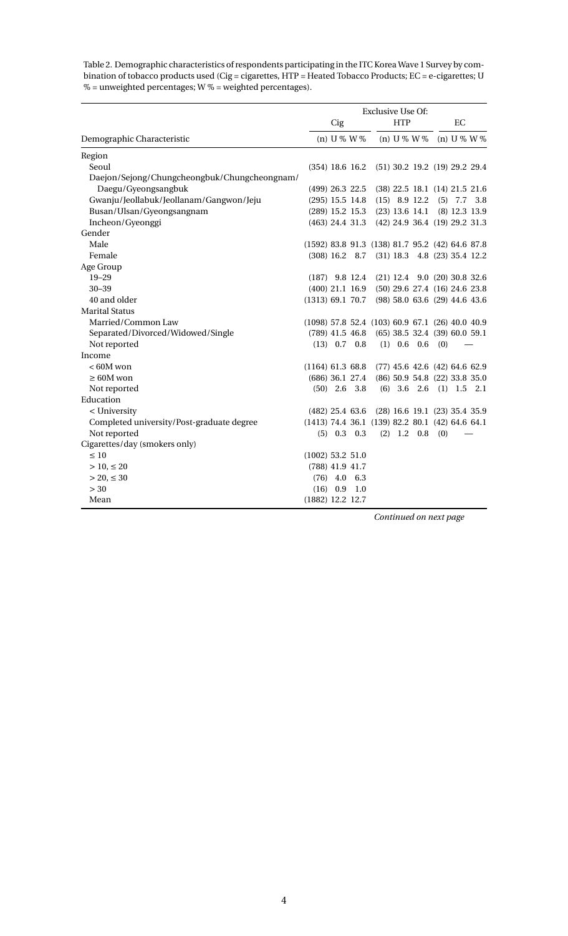Table 2. Demographic characteristics of respondents participating in the ITC Korea Wave 1 Survey by combination of tobacco products used (Cig = cigarettes, HTP = Heated Tobacco Products; EC = e-cigarettes; U % = unweighted percentages; W % = weighted percentages).

|                                              | <b>Exclusive Use Of:</b>                              |            |                |  |            |                                   |     |           |                 |  |
|----------------------------------------------|-------------------------------------------------------|------------|----------------|--|------------|-----------------------------------|-----|-----------|-----------------|--|
|                                              |                                                       | Cig        |                |  | <b>HTP</b> |                                   |     | EC        |                 |  |
| Demographic Characteristic                   |                                                       |            | (n) $U\% W\%$  |  |            | (n) $U\% W\%$                     |     |           | (n) $U\% W\%$   |  |
| Region                                       |                                                       |            |                |  |            |                                   |     |           |                 |  |
| Seoul                                        | $(354)$ 18.6 16.2                                     |            |                |  |            | $(51)$ 30.2 19.2 $(19)$ 29.2 29.4 |     |           |                 |  |
| Daejon/Sejong/Chungcheongbuk/Chungcheongnam/ |                                                       |            |                |  |            |                                   |     |           |                 |  |
| Daegu/Gyeongsangbuk                          | $(499)$ 26.3 22.5                                     |            |                |  |            | $(38)$ 22.5 18.1 $(14)$ 21.5 21.6 |     |           |                 |  |
| Gwanju/Jeollabuk/Jeollanam/Gangwon/Jeju      | $(295)$ 15.5 14.8                                     |            |                |  |            | $(15)$ 8.9 12.2 $(5)$ 7.7 3.8     |     |           |                 |  |
| Busan/Ulsan/Gyeongsangnam                    | $(289)$ 15.2 15.3                                     |            |                |  |            | $(23)$ 13.6 14.1                  |     |           | $(8)$ 12.3 13.9 |  |
| Incheon/Gyeonggi                             | $(463)$ 24.4 31.3                                     |            |                |  |            | (42) 24.9 36.4 (19) 29.2 31.3     |     |           |                 |  |
| Gender                                       |                                                       |            |                |  |            |                                   |     |           |                 |  |
| Male                                         | (1592) 83.8 91.3 (138) 81.7 95.2 (42) 64.6 87.8       |            |                |  |            |                                   |     |           |                 |  |
| Female                                       | $(308)$ 16.2 8.7                                      |            |                |  |            | $(31)$ 18.3 4.8 $(23)$ 35.4 12.2  |     |           |                 |  |
| Age Group                                    |                                                       |            |                |  |            |                                   |     |           |                 |  |
| $19 - 29$                                    | $(187)$ 9.8 12.4                                      |            |                |  |            | $(21)$ 12.4 9.0 $(20)$ 30.8 32.6  |     |           |                 |  |
| $30 - 39$                                    | $(400)$ 21.1 16.9                                     |            |                |  |            | $(50)$ 29.6 27.4 $(16)$ 24.6 23.8 |     |           |                 |  |
| 40 and older                                 | (1313) 69.1 70.7                                      |            |                |  |            | $(98)$ 58.0 63.6 (29) 44.6 43.6   |     |           |                 |  |
| <b>Marital Status</b>                        |                                                       |            |                |  |            |                                   |     |           |                 |  |
| Married/Common Law                           | $(1098)$ 57.8 52.4 $(103)$ 60.9 67.1 $(26)$ 40.0 40.9 |            |                |  |            |                                   |     |           |                 |  |
| Separated/Divorced/Widowed/Single            | $(789)$ 41.5 46.8                                     |            |                |  |            | $(65)$ 38.5 32.4 $(39)$ 60.0 59.1 |     |           |                 |  |
| Not reported                                 |                                                       |            | $(13)$ 0.7 0.8 |  |            | $(1)$ 0.6 0.6                     | (0) |           |                 |  |
| Income                                       |                                                       |            |                |  |            |                                   |     |           |                 |  |
| $< 60M$ won                                  | $(1164)$ 61.3 68.8                                    |            |                |  |            | $(77)$ 45.6 42.6 (42) 64.6 62.9   |     |           |                 |  |
| $\geq 60M$ won                               | $(686)$ 36.1 27.4                                     |            |                |  |            | (86) 50.9 54.8 (22) 33.8 35.0     |     |           |                 |  |
| Not reported                                 |                                                       | $(50)$ 2.6 | 3.8            |  |            | $(6)$ 3.6 2.6                     |     | $(1)$ 1.5 | 2.1             |  |
| Education                                    |                                                       |            |                |  |            |                                   |     |           |                 |  |
| < University                                 | $(482)$ 25.4 63.6                                     |            |                |  |            | $(28)$ 16.6 19.1 $(23)$ 35.4 35.9 |     |           |                 |  |
| Completed university/Post-graduate degree    | $(1413)$ 74.4 36.1 $(139)$ 82.2 80.1 $(42)$ 64.6 64.1 |            |                |  |            |                                   |     |           |                 |  |
| Not reported                                 |                                                       |            | $(5)$ 0.3 0.3  |  |            | $(2)$ 1.2 0.8                     | (0) |           |                 |  |
| Cigarettes/day (smokers only)                |                                                       |            |                |  |            |                                   |     |           |                 |  |
| $\leq 10$                                    | $(1002)$ 53.2 51.0                                    |            |                |  |            |                                   |     |           |                 |  |
| $> 10, \leq 20$                              | $(788)$ 41.9 41.7                                     |            |                |  |            |                                   |     |           |                 |  |
| $>$ 20, $\leq$ 30                            |                                                       | $(76)$ 4.0 | 6.3            |  |            |                                   |     |           |                 |  |
| > 30                                         |                                                       | $(16)$ 0.9 | 1.0            |  |            |                                   |     |           |                 |  |
| Mean                                         | (1882) 12.2 12.7                                      |            |                |  |            |                                   |     |           |                 |  |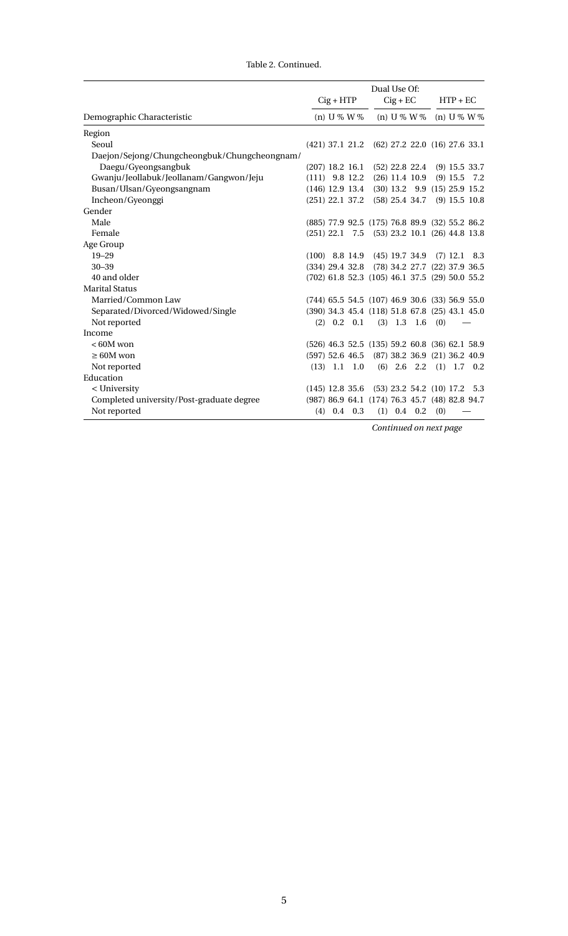|                                              | Dual Use Of:      |             |                |                                                      |            |                                   |     |                 |     |  |  |
|----------------------------------------------|-------------------|-------------|----------------|------------------------------------------------------|------------|-----------------------------------|-----|-----------------|-----|--|--|
|                                              | $Cig + HTP$       |             |                |                                                      | $Cig + EC$ |                                   |     | $HTP + EC$      |     |  |  |
| Demographic Characteristic                   |                   | (n) U % W % |                |                                                      |            | (n) U % W %                       |     | (n) U % W %     |     |  |  |
| Region                                       |                   |             |                |                                                      |            |                                   |     |                 |     |  |  |
| Seoul                                        |                   |             |                | (421) 37.1 21.2 (62) 27.2 22.0 (16) 27.6 33.1        |            |                                   |     |                 |     |  |  |
| Daejon/Sejong/Chungcheongbuk/Chungcheongnam/ |                   |             |                |                                                      |            |                                   |     |                 |     |  |  |
| Daegu/Gyeongsangbuk                          | $(207)$ 18.2 16.1 |             |                |                                                      |            | $(52)$ 22.8 22.4 $(9)$ 15.5 33.7  |     |                 |     |  |  |
| Gwanju/Jeollabuk/Jeollanam/Gangwon/Jeju      | $(111)$ 9.8 12.2  |             |                |                                                      |            | $(26)$ 11.4 10.9                  |     | $(9)$ 15.5      | 7.2 |  |  |
| Busan/Ulsan/Gyeongsangnam                    | $(146)$ 12.9 13.4 |             |                |                                                      |            | $(30)$ 13.2 9.9 $(15)$ 25.9 15.2  |     |                 |     |  |  |
| Incheon/Gyeonggi                             | $(251)$ 22.1 37.2 |             |                |                                                      |            | $(58)$ 25.4 34.7                  |     | $(9)$ 15.5 10.8 |     |  |  |
| Gender                                       |                   |             |                |                                                      |            |                                   |     |                 |     |  |  |
| Male                                         |                   |             |                | (885) 77.9 92.5 (175) 76.8 89.9 (32) 55.2 86.2       |            |                                   |     |                 |     |  |  |
| Female                                       | $(251)$ 22.1 7.5  |             |                |                                                      |            | $(53)$ 23.2 10.1 $(26)$ 44.8 13.8 |     |                 |     |  |  |
| Age Group                                    |                   |             |                |                                                      |            |                                   |     |                 |     |  |  |
| $19 - 29$                                    | $(100)$ 8.8 14.9  |             |                |                                                      |            | $(45)$ 19.7 34.9 $(7)$ 12.1 8.3   |     |                 |     |  |  |
| $30 - 39$                                    |                   |             |                | (334) 29.4 32.8 (78) 34.2 27.7 (22) 37.9 36.5        |            |                                   |     |                 |     |  |  |
| 40 and older                                 |                   |             |                | $(702)$ 61.8 52.3 (105) 46.1 37.5 (29) 50.0 55.2     |            |                                   |     |                 |     |  |  |
| <b>Marital Status</b>                        |                   |             |                |                                                      |            |                                   |     |                 |     |  |  |
| Married/Common Law                           |                   |             |                | $(744)$ 65.5 54.5 $(107)$ 46.9 30.6 $(33)$ 56.9 55.0 |            |                                   |     |                 |     |  |  |
| Separated/Divorced/Widowed/Single            |                   |             |                | (390) 34.3 45.4 (118) 51.8 67.8 (25) 43.1 45.0       |            |                                   |     |                 |     |  |  |
| Not reported                                 |                   |             | $(2)$ 0.2 0.1  |                                                      |            | $(3)$ 1.3 1.6                     | (0) |                 |     |  |  |
| Income                                       |                   |             |                |                                                      |            |                                   |     |                 |     |  |  |
| $< 60M$ won                                  |                   |             |                | $(526)$ 46.3 52.5 (135) 59.2 60.8 (36) 62.1 58.9     |            |                                   |     |                 |     |  |  |
| $\geq 60M$ won                               | $(597)$ 52.6 46.5 |             |                |                                                      |            | (87) 38.2 36.9 (21) 36.2 40.9     |     |                 |     |  |  |
| Not reported                                 |                   |             | $(13)$ 1.1 1.0 |                                                      |            | $(6)$ 2.6 2.2 $(1)$ 1.7 0.2       |     |                 |     |  |  |
| Education                                    |                   |             |                |                                                      |            |                                   |     |                 |     |  |  |
| < University                                 | $(145)$ 12.8 35.6 |             |                |                                                      |            | $(53)$ 23.2 54.2 $(10)$ 17.2      |     |                 | 5.3 |  |  |
| Completed university/Post-graduate degree    |                   |             |                | (987) 86.9 64.1 (174) 76.3 45.7 (48) 82.8 94.7       |            |                                   |     |                 |     |  |  |
| Not reported                                 |                   |             | $(4)$ 0.4 0.3  |                                                      |            | $(1)$ 0.4 0.2                     | (0) |                 |     |  |  |